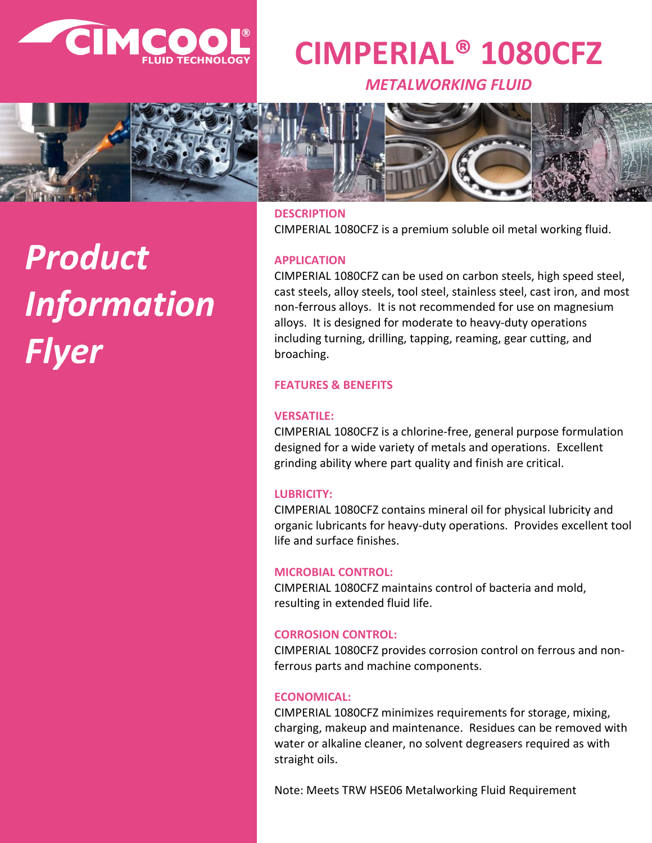

# **CIMPERIAL® 1080CFZ**

*METALWORKING FLUID*



# *Product Information Flyer*

**DESCRIPTION** CIMPERIAL 1080CFZ is a premium soluble oil metal working fluid.

# **APPLICATION**

CIMPERIAL 1080CFZ can be used on carbon steels, high speed steel, cast steels, alloy steels, tool steel, stainless steel, cast iron, and most non-ferrous alloys. It is not recommended for use on magnesium alloys. It is designed for moderate to heavy-duty operations including turning, drilling, tapping, reaming, gear cutting, and broaching.

# **FEATURES & BENEFITS**

# **VERSATILE:**

CIMPERIAL 1080CFZ is a chlorine-free, general purpose formulation designed for a wide variety of metals and operations. Excellent grinding ability where part quality and finish are critical.

# **LUBRICITY:**

CIMPERIAL 1080CFZ contains mineral oil for physical lubricity and organic lubricants for heavy-duty operations. Provides excellent tool life and surface finishes.

# **MICROBIAL CONTROL:**

CIMPERIAL 1080CFZ maintains control of bacteria and mold, resulting in extended fluid life.

# **CORROSION CONTROL:**

CIMPERIAL 1080CFZ provides corrosion control on ferrous and nonferrous parts and machine components.

# **ECONOMICAL:**

CIMPERIAL 1080CFZ minimizes requirements for storage, mixing, charging, makeup and maintenance. Residues can be removed with water or alkaline cleaner, no solvent degreasers required as with straight oils.

Note: Meets TRW HSE06 Metalworking Fluid Requirement